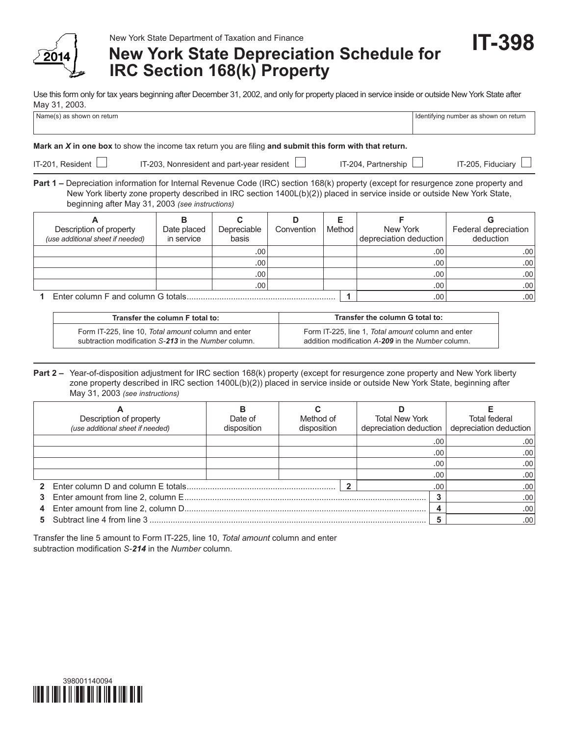

New York State Department of Taxation and Finance

# **New York State Depreciation Schedule for IRC Section 168(k) Property**

**IT-398**

Use this form only for tax years beginning after December 31, 2002, and only for property placed in service inside or outside New York State after May 31, 2003.

| Name(s) as shown on return                                                                                                                                                                                                                                                                                        |                                |                           |                 |             |                                    | Identifying number as shown on return  |  |  |  |
|-------------------------------------------------------------------------------------------------------------------------------------------------------------------------------------------------------------------------------------------------------------------------------------------------------------------|--------------------------------|---------------------------|-----------------|-------------|------------------------------------|----------------------------------------|--|--|--|
| Mark an X in one box to show the income tax return you are filing and submit this form with that return.                                                                                                                                                                                                          |                                |                           |                 |             |                                    |                                        |  |  |  |
| IT-201, Resident $\Box$<br>IT-203, Nonresident and part-year resident $\Box$                                                                                                                                                                                                                                      | IT-204. Partnership            | IT-205, Fiduciary         |                 |             |                                    |                                        |  |  |  |
| Part 1 – Depreciation information for Internal Revenue Code (IRC) section 168(k) property (except for resurgence zone property and<br>New York liberty zone property described in IRC section 1400L(b)(2)) placed in service inside or outside New York State,<br>beginning after May 31, 2003 (see instructions) |                                |                           |                 |             |                                    |                                        |  |  |  |
| A<br>Description of property<br>(use additional sheet if needed)                                                                                                                                                                                                                                                  | в<br>Date placed<br>in service | C<br>Depreciable<br>basis | D<br>Convention | F<br>Method | New York<br>depreciation deduction | G<br>Federal depreciation<br>deduction |  |  |  |
|                                                                                                                                                                                                                                                                                                                   |                                | .00                       |                 |             | .00                                | .00                                    |  |  |  |
|                                                                                                                                                                                                                                                                                                                   |                                | .00                       |                 |             | .00.                               | .00                                    |  |  |  |
|                                                                                                                                                                                                                                                                                                                   |                                | .00                       |                 |             | .00                                | .00.                                   |  |  |  |
|                                                                                                                                                                                                                                                                                                                   |                                | .00                       |                 |             | .00.                               | .00.                                   |  |  |  |

**1** Enter column F and column G totals................................................................ **1** .00 .00

| Transfer the column F total to:                      | Transfer the column G total to:                    |  |  |  |  |
|------------------------------------------------------|----------------------------------------------------|--|--|--|--|
| Form IT-225, line 10, Total amount column and enter  | Form IT-225, line 1, Total amount column and enter |  |  |  |  |
| subtraction modification S-213 in the Number column. | addition modification A-209 in the Number column.  |  |  |  |  |

**Part 2 –** Year-of-disposition adjustment for IRC section 168(k) property (except for resurgence zone property and New York liberty zone property described in IRC section 1400L(b)(2)) placed in service inside or outside New York State, beginning after May 31, 2003 *(see instructions)*

| Description of property<br>(use additional sheet if needed) | Date of<br>disposition | Method of<br>disposition |  | <b>Total New York</b><br>depreciation deduction |     | Total federal<br>depreciation deduction |
|-------------------------------------------------------------|------------------------|--------------------------|--|-------------------------------------------------|-----|-----------------------------------------|
|                                                             |                        |                          |  |                                                 | .00 | .00                                     |
|                                                             |                        |                          |  |                                                 | .00 | .00                                     |
|                                                             |                        |                          |  |                                                 | .00 | .00                                     |
|                                                             |                        |                          |  |                                                 | .00 | .00                                     |
|                                                             |                        |                          |  |                                                 | .00 | .00                                     |
|                                                             |                        |                          |  |                                                 |     | .00                                     |
|                                                             |                        |                          |  |                                                 |     | .00                                     |
|                                                             |                        |                          |  |                                                 |     | .00                                     |

Transfer the line 5 amount to Form IT-225, line 10, *Total amount* column and enter subtraction modification *S-214* in the *Number* column.